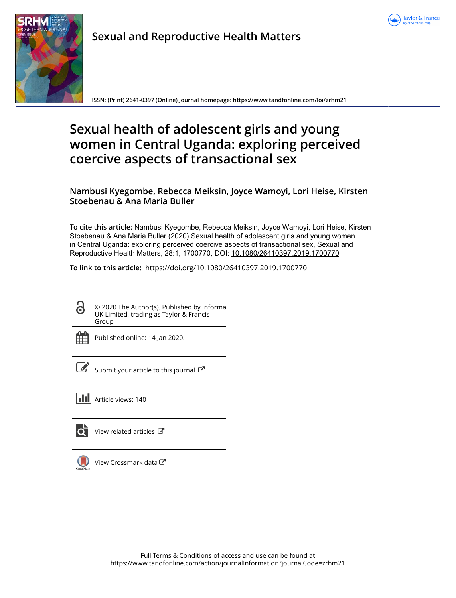



**Sexual and Reproductive Health Matters**

**ISSN: (Print) 2641-0397 (Online) Journal homepage:<https://www.tandfonline.com/loi/zrhm21>**

# **Sexual health of adolescent girls and young women in Central Uganda: exploring perceived coercive aspects of transactional sex**

**Nambusi Kyegombe, Rebecca Meiksin, Joyce Wamoyi, Lori Heise, Kirsten Stoebenau & Ana Maria Buller**

**To cite this article:** Nambusi Kyegombe, Rebecca Meiksin, Joyce Wamoyi, Lori Heise, Kirsten Stoebenau & Ana Maria Buller (2020) Sexual health of adolescent girls and young women in Central Uganda: exploring perceived coercive aspects of transactional sex, Sexual and Reproductive Health Matters, 28:1, 1700770, DOI: [10.1080/26410397.2019.1700770](https://www.tandfonline.com/action/showCitFormats?doi=10.1080/26410397.2019.1700770)

**To link to this article:** <https://doi.org/10.1080/26410397.2019.1700770>

© 2020 The Author(s). Published by Informa UK Limited, trading as Taylor & Francis Group



ര

Published online: 14 Jan 2020.

[Submit your article to this journal](https://www.tandfonline.com/action/authorSubmission?journalCode=zrhm21&show=instructions)  $\mathbb{Z}$ 

**III** Article views: 140



 $\overrightarrow{O}$  [View related articles](https://www.tandfonline.com/doi/mlt/10.1080/26410397.2019.1700770)  $\overrightarrow{C}$ 



 $\bigcirc$  [View Crossmark data](http://crossmark.crossref.org/dialog/?doi=10.1080/26410397.2019.1700770&domain=pdf&date_stamp=2020-01-14) $\mathbb{Z}$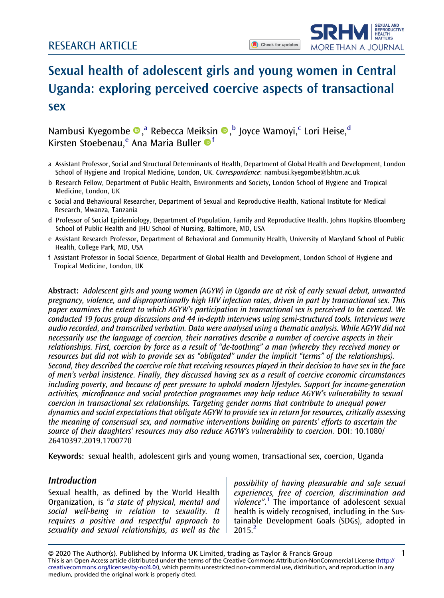

## Sexual health of adolescent girls and young women in Central Uganda: exploring perceived coercive aspects of transactional sex

## Nambusi Kyegombe ®,ª Rebecca Meiksin ®, bJoyce Wamoyi, CLori Heise, d Kirsten Stoebenau,<sup>e</sup> Ana Maria Buller <sup>of</sup>

- a Assistant Professor, Social and Structural Determinants of Health, Department of Global Health and Development, London School of Hygiene and Tropical Medicine, London, UK. Correspondence: [nambusi.kyegombe@lshtm.ac.uk](mailto:nambusi.kyegombe@lshtm.ac.uk)
- b Research Fellow, Department of Public Health, Environments and Society, London School of Hygiene and Tropical Medicine, London, UK
- c Social and Behavioural Researcher, Department of Sexual and Reproductive Health, National Institute for Medical Research, Mwanza, Tanzania
- d Professor of Social Epidemiology, Department of Population, Family and Reproductive Health, Johns Hopkins Bloomberg School of Public Health and JHU School of Nursing, Baltimore, MD, USA
- e Assistant Research Professor, Department of Behavioral and Community Health, University of Maryland School of Public Health, College Park, MD, USA
- f Assistant Professor in Social Science, Department of Global Health and Development, London School of Hygiene and Tropical Medicine, London, UK

Abstract: Adolescent girls and young women (AGYW) in Uganda are at risk of early sexual debut, unwanted pregnancy, violence, and disproportionally high HIV infection rates, driven in part by transactional sex. This paper examines the extent to which AGYW's participation in transactional sex is perceived to be coerced. We conducted 19 focus group discussions and 44 in-depth interviews using semi-structured tools. Interviews were audio recorded, and transcribed verbatim. Data were analysed using a thematic analysis. While AGYW did not necessarily use the language of coercion, their narratives describe a number of coercive aspects in their relationships. First, coercion by force as a result of "de-toothing" a man (whereby they received money or resources but did not wish to provide sex as "obligated" under the implicit "terms" of the relationships). Second, they described the coercive role that receiving resources played in their decision to have sex in the face of men's verbal insistence. Finally, they discussed having sex as a result of coercive economic circumstances including poverty, and because of peer pressure to uphold modern lifestyles. Support for income-generation activities, microfinance and social protection programmes may help reduce AGYW's vulnerability to sexual coercion in transactional sex relationships. Targeting gender norms that contribute to unequal power dynamics and social expectations that obligate AGYW to provide sex in return for resources, critically assessing the meaning of consensual sex, and normative interventions building on parents' efforts to ascertain the source of their daughters' resources may also reduce AGYW's vulnerability to coercion. DOI: 10.1080/ 26410397.2019.1700770

Keywords: sexual health, adolescent girls and young women, transactional sex, coercion, Uganda

#### **Introduction**

Sexual health, as defined by the World Health Organization, is "a state of physical, mental and social well-being in relation to sexuality. It requires a positive and respectful approach to sexuality and sexual relationships, as well as the

possibility of having pleasurable and safe sexual experiences, free of coercion, discrimination and violence".<sup>[1](#page-10-0)</sup> The importance of adolescent sexual health is widely recognised, including in the Sustainable Development Goals (SDGs), adopted in 2015.[2](#page-10-0)

© 2020 The Author(s). Published by Informa UK Limited, trading as Taylor & Francis Group 1 This is an Open Access article distributed under the terms of the Creative Commons Attribution-NonCommercial License ([http://](http://creativecommons.org/licenses/by-nc/4.0/) [creativecommons.org/licenses/by-nc/4.0/\)](http://creativecommons.org/licenses/by-nc/4.0/), which permits unrestricted non-commercial use, distribution, and reproduction in any medium, provided the original work is properly cited.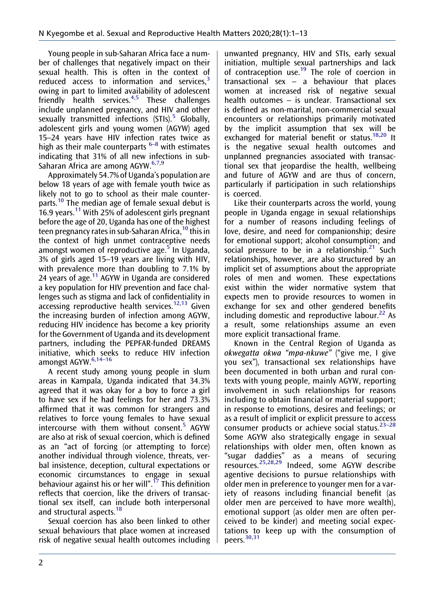<span id="page-2-0"></span>Young people in sub-Saharan Africa face a number of challenges that negatively impact on their sexual health. This is often in the context of reduced access to information and services.<sup>[3](#page-10-0)</sup> owing in part to limited availability of adolescent friendly health services.<sup>[4,5](#page-10-0)</sup> These challenges include unplanned pregnancy, and HIV and other sexually transmitted infections  $(STIs).$ <sup>[5](#page-10-0)</sup> Globally, adolescent girls and young women (AGYW) aged 15–24 years have HIV infection rates twice as high as their male counterparts  $6-8$  with estimates indicating that 31% of all new infections in sub-Saharan Africa are among AGYW.<sup>[6,7](#page-10-0)[,9](#page-11-0)</sup>

Approximately 54.7% of Uganda's population are below 18 years of age with female youth twice as likely not to go to school as their male counter-parts.<sup>[10](#page-11-0)</sup> The median age of female sexual debut is 16.9 years.[11](#page-11-0) With 25% of adolescent girls pregnant before the age of 20, Uganda has one of the highest teen pregnancy rates in sub-Saharan Africa,  $10$  this in the context of high unmet contraceptive needs amongst women of reproductive age. $5$  In Uganda, 3% of girls aged 15–19 years are living with HIV, with prevalence more than doubling to 7.1% by 24 years of age. $11$  AGYW in Uganda are considered a key population for HIV prevention and face challenges such as stigma and lack of confidentiality in accessing reproductive health services.<sup>[12](#page-11-0),[13](#page-11-0)</sup> Given the increasing burden of infection among AGYW, reducing HIV incidence has become a key priority for the Government of Uganda and its development partners, including the PEPFAR-funded DREAMS initiative, which seeks to reduce HIV infection amongst AGYW.<sup>6,14-16</sup>

A recent study among young people in slum areas in Kampala, Uganda indicated that 34.3% agreed that it was okay for a boy to force a girl to have sex if he had feelings for her and 73.3% affirmed that it was common for strangers and relatives to force young females to have sexual intercourse with them without consent. $5$  AGYW are also at risk of sexual coercion, which is defined as an "act of forcing (or attempting to force) another individual through violence, threats, verbal insistence, deception, cultural expectations or economic circumstances to engage in sexual behaviour against his or her will".<sup>[17](#page-11-0)</sup> This definition reflects that coercion, like the drivers of transactional sex itself, can include both interpersonal and structural aspects.<sup>[18](#page-11-0)</sup>

Sexual coercion has also been linked to other sexual behaviours that place women at increased risk of negative sexual health outcomes including unwanted pregnancy, HIV and STIs, early sexual initiation, multiple sexual partnerships and lack of contraception use.[19](#page-11-0) The role of coercion in transactional sex – a behaviour that places women at increased risk of negative sexual health outcomes – is unclear. Transactional sex is defined as non-marital, non-commercial sexual encounters or relationships primarily motivated by the implicit assumption that sex will be exchanged for material benefit or status.<sup>[18,20](#page-11-0)</sup> It is the negative sexual health outcomes and unplanned pregnancies associated with transactional sex that jeopardise the health, wellbeing and future of AGYW and are thus of concern, particularly if participation in such relationships is coerced.

Like their counterparts across the world, young people in Uganda engage in sexual relationships for a number of reasons including feelings of love, desire, and need for companionship; desire for emotional support; alcohol consumption; and social pressure to be in a relationship.<sup>[21](#page-11-0)</sup> Such relationships, however, are also structured by an implicit set of assumptions about the appropriate roles of men and women. These expectations exist within the wider normative system that expects men to provide resources to women in exchange for sex and other gendered benefits including domestic and reproductive labour. $^{22}$  As a result, some relationships assume an even more explicit transactional frame.

Known in the Central Region of Uganda as okwegatta okwa "mpa-nkuwe" ("give me, I give you sex"), transactional sex relationships have been documented in both urban and rural contexts with young people, mainly AGYW, reporting involvement in such relationships for reasons including to obtain financial or material support; in response to emotions, desires and feelings; or as a result of implicit or explicit pressure to access consumer products or achieve social status. $23-28$ Some AGYW also strategically engage in sexual relationships with older men, often known as "sugar daddies" as a means of securing resources.[25](#page-11-0),[28,29](#page-11-0) Indeed, some AGYW describe agentive decisions to pursue relationships with older men in preference to younger men for a variety of reasons including financial benefit (as older men are perceived to have more wealth), emotional support (as older men are often perceived to be kinder) and meeting social expectations to keep up with the consumption of peers.<sup>[30,31](#page-11-0)</sup>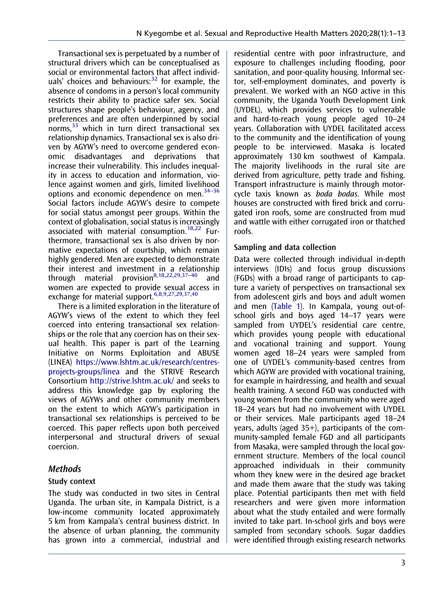<span id="page-3-0"></span>Transactional sex is perpetuated by a number of structural drivers which can be conceptualised as social or environmental factors that affect individuals' choices and behaviours: $32$  for example, the absence of condoms in a person's local community restricts their ability to practice safer sex. Social structures shape people's behaviour, agency, and preferences and are often underpinned by social norms, $33$  which in turn direct transactional sex relationship dynamics. Transactional sex is also driven by AGYW's need to overcome gendered economic disadvantages and deprivations that increase their vulnerability. This includes inequality in access to education and information, violence against women and girls, limited livelihood options and economic dependence on men. $34-36$ Social factors include AGYW's desire to compete for social status amongst peer groups. Within the context of globalisation, social status is increasingly associated with material consumption.<sup>[18](#page-11-0),[22](#page-11-0)</sup> Furthermore, transactional sex is also driven by normative expectations of courtship, which remain highly gendered. Men are expected to demonstrate their interest and investment in a relationship through material provision[8,](#page-10-0)[18,22,29,](#page-11-0)37–<sup>40</sup> and women are expected to provide sexual access in exchange for material support.<sup>[6,8](#page-10-0)[,9,27,29,37](#page-11-0)[,40](#page-12-0)</sup>

There is a limited exploration in the literature of AGYW's views of the extent to which they feel coerced into entering transactional sex relationships or the role that any coercion has on their sexual health. This paper is part of the Learning Initiative on Norms Exploitation and ABUSE (LINEA) [https://www.lshtm.ac.uk/research/centres](https://www.lshtm.ac.uk/research/centres-projects-groups/linea)[projects-groups/linea](https://www.lshtm.ac.uk/research/centres-projects-groups/linea) and the STRIVE Research Consortium <http://strive.lshtm.ac.uk/> and seeks to address this knowledge gap by exploring the views of AGYWs and other community members on the extent to which AGYW's participation in transactional sex relationships is perceived to be coerced. This paper reflects upon both perceived interpersonal and structural drivers of sexual coercion.

## Methods

## Study context

The study was conducted in two sites in Central Uganda. The urban site, in Kampala District, is a low-income community located approximately 5 km from Kampala's central business district. In the absence of urban planning, the community has grown into a commercial, industrial and residential centre with poor infrastructure, and exposure to challenges including flooding, poor sanitation, and poor-quality housing. Informal sector, self-employment dominates, and poverty is prevalent. We worked with an NGO active in this community, the Uganda Youth Development Link (UYDEL), which provides services to vulnerable and hard-to-reach young people aged 10–24 years. Collaboration with UYDEL facilitated access to the community and the identification of young people to be interviewed. Masaka is located approximately 130 km southwest of Kampala. The majority livelihoods in the rural site are derived from agriculture, petty trade and fishing. Transport infrastructure is mainly through motorcycle taxis known as boda bodas. While most houses are constructed with fired brick and corrugated iron roofs, some are constructed from mud and wattle with either corrugated iron or thatched roofs.

## Sampling and data collection

Data were collected through individual in-depth interviews (IDIs) and focus group discussions (FGDs) with a broad range of participants to capture a variety of perspectives on transactional sex from adolescent girls and boys and adult women and men [\(Table 1\)](#page-4-0). In Kampala, young out-ofschool girls and boys aged 14–17 years were sampled from UYDEL's residential care centre, which provides young people with educational and vocational training and support. Young women aged 18–24 years were sampled from one of UYDEL's community-based centres from which AGYW are provided with vocational training, for example in hairdressing, and health and sexual health training. A second FGD was conducted with young women from the community who were aged 18–24 years but had no involvement with UYDEL or their services. Male participants aged 18–24 years, adults (aged 35+), participants of the community-sampled female FGD and all participants from Masaka, were sampled through the local government structure. Members of the local council approached individuals in their community whom they knew were in the desired age bracket and made them aware that the study was taking place. Potential participants then met with field researchers and were given more information about what the study entailed and were formally invited to take part. In-school girls and boys were sampled from secondary schools. Sugar daddies were identified through existing research networks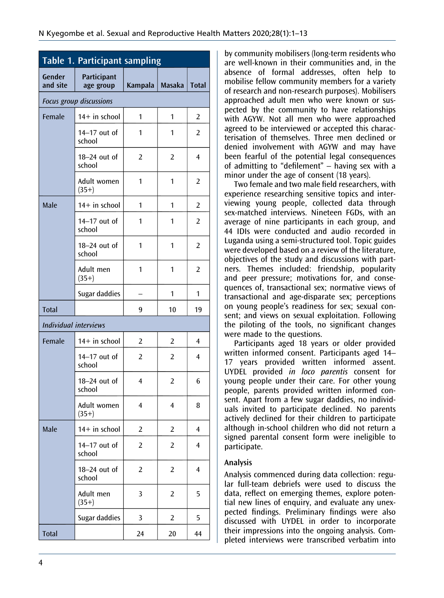<span id="page-4-0"></span>

| Table 1. Participant sampling |                          |                |                |                |  |
|-------------------------------|--------------------------|----------------|----------------|----------------|--|
| Gender<br>and site            | Participant<br>age group | Kampala        | <b>Masaka</b>  | <b>Total</b>   |  |
| Focus group discussions       |                          |                |                |                |  |
| Female                        | 14+ in school            | 1              | 1              | 2              |  |
|                               | 14-17 out of<br>school   | 1              | 1              | 2              |  |
|                               | 18-24 out of<br>school   | 2              | 2              | 4              |  |
|                               | Adult women<br>$(35+)$   | 1              | 1              | 2              |  |
| Male                          | 14+ in school            | 1              | 1              | $\overline{2}$ |  |
|                               | 14-17 out of<br>school   | 1              | 1              | 2              |  |
|                               | 18-24 out of<br>school   | 1              | 1              | 2              |  |
|                               | Adult men<br>$(35+)$     | 1              | 1              | 2              |  |
|                               | Sugar daddies            |                | 1              | 1              |  |
| <b>Total</b>                  |                          | 9              | 10             | 19             |  |
| <b>Individual interviews</b>  |                          |                |                |                |  |
| Female                        | 14+ in school            | 2              | 2              | 4              |  |
|                               | 14-17 out of<br>school   | 2              | $\overline{2}$ | 4              |  |
|                               | 18-24 out of<br>school   | 4              | $\overline{2}$ | 6              |  |
|                               | Adult women<br>$(35+)$   | 4              | $\overline{4}$ | 8              |  |
| Male                          | 14+ in school            | 2              | $\overline{2}$ | 4              |  |
|                               | 14-17 out of<br>school   | $\overline{2}$ | $\overline{2}$ | 4              |  |
|                               | 18-24 out of<br>school   | 2              | 2              | 4              |  |
|                               | Adult men<br>$(35+)$     | 3              | $\overline{2}$ | 5              |  |
|                               | Sugar daddies            | 3              | 2              | 5              |  |
| <b>Total</b>                  |                          | 24             | 20             | 44             |  |

by community mobilisers (long-term residents who are well-known in their communities and, in the absence of formal addresses, often help to mobilise fellow community members for a variety of research and non-research purposes). Mobilisers approached adult men who were known or suspected by the community to have relationships with AGYW. Not all men who were approached agreed to be interviewed or accepted this characterisation of themselves. Three men declined or denied involvement with AGYW and may have been fearful of the potential legal consequences of admitting to "defilement" – having sex with a minor under the age of consent (18 years).

Two female and two male field researchers, with experience researching sensitive topics and interviewing young people, collected data through sex-matched interviews. Nineteen FGDs, with an average of nine participants in each group, and 44 IDIs were conducted and audio recorded in Luganda using a semi-structured tool. Topic guides were developed based on a review of the literature, objectives of the study and discussions with partners. Themes included: friendship, popularity and peer pressure; motivations for, and consequences of, transactional sex; normative views of transactional and age-disparate sex; perceptions on young people's readiness for sex; sexual consent; and views on sexual exploitation. Following the piloting of the tools, no significant changes were made to the questions.

Participants aged 18 years or older provided written informed consent. Participants aged 14– 17 years provided written informed assent. UYDEL provided in loco parentis consent for young people under their care. For other young people, parents provided written informed consent. Apart from a few sugar daddies, no individuals invited to participate declined. No parents actively declined for their children to participate although in-school children who did not return a signed parental consent form were ineligible to participate.

#### Analysis

Analysis commenced during data collection: regular full-team debriefs were used to discuss the data, reflect on emerging themes, explore potential new lines of enquiry, and evaluate any unexpected findings. Preliminary findings were also discussed with UYDEL in order to incorporate their impressions into the ongoing analysis. Completed interviews were transcribed verbatim into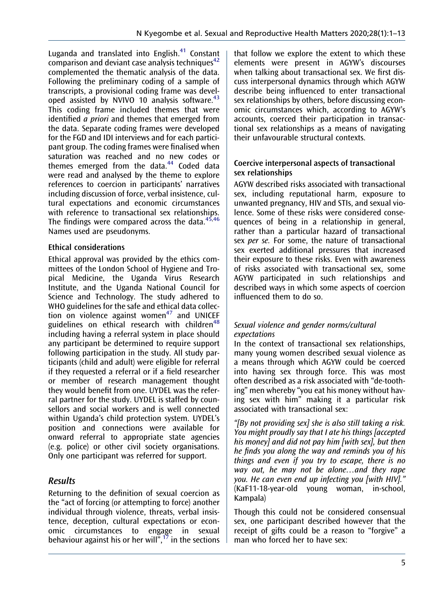<span id="page-5-0"></span>Luganda and translated into English. $41$  Constant comparison and deviant case analysis techniques<sup> $42$ </sup> complemented the thematic analysis of the data. Following the preliminary coding of a sample of transcripts, a provisional coding frame was devel-oped assisted by NVIVO 10 analysis software.<sup>[43](#page-12-0)</sup> This coding frame included themes that were identified *a priori* and themes that emerged from the data. Separate coding frames were developed for the FGD and IDI interviews and for each participant group. The coding frames were finalised when saturation was reached and no new codes or themes emerged from the data. $44$  Coded data were read and analysed by the theme to explore references to coercion in participants' narratives including discussion of force, verbal insistence, cultural expectations and economic circumstances with reference to transactional sex relationships. The findings were compared across the data. $45,46$ Names used are pseudonyms.

## Ethical considerations

Ethical approval was provided by the ethics committees of the London School of Hygiene and Tropical Medicine, the Uganda Virus Research Institute, and the Uganda National Council for Science and Technology. The study adhered to WHO guidelines for the safe and ethical data collec-tion on violence against women<sup>[47](#page-12-0)</sup> and UNICEF guidelines on ethical research with children<sup>[48](#page-12-0)</sup> including having a referral system in place should any participant be determined to require support following participation in the study. All study participants (child and adult) were eligible for referral if they requested a referral or if a field researcher or member of research management thought they would benefit from one. UYDEL was the referral partner for the study. UYDEL is staffed by counsellors and social workers and is well connected within Uganda's child protection system. UYDEL's position and connections were available for onward referral to appropriate state agencies (e.g. police) or other civil society organisations. Only one participant was referred for support.

## Results

Returning to the definition of sexual coercion as the "act of forcing (or attempting to force) another individual through violence, threats, verbal insistence, deception, cultural expectations or economic circumstances to engage in sexual behaviour against his or her will",<sup>[17](#page-11-0)</sup> in the sections

that follow we explore the extent to which these elements were present in AGYW's discourses when talking about transactional sex. We first discuss interpersonal dynamics through which AGYW describe being influenced to enter transactional sex relationships by others, before discussing economic circumstances which, according to AGYW's accounts, coerced their participation in transactional sex relationships as a means of navigating their unfavourable structural contexts.

#### Coercive interpersonal aspects of transactional sex relationships

AGYW described risks associated with transactional sex, including reputational harm, exposure to unwanted pregnancy, HIV and STIs, and sexual violence. Some of these risks were considered consequences of being in a relationship in general, rather than a particular hazard of transactional sex per se. For some, the nature of transactional sex exerted additional pressures that increased their exposure to these risks. Even with awareness of risks associated with transactional sex, some AGYW participated in such relationships and described ways in which some aspects of coercion influenced them to do so.

#### Sexual violence and gender norms/cultural expectations

In the context of transactional sex relationships, many young women described sexual violence as a means through which AGYW could be coerced into having sex through force. This was most often described as a risk associated with "de-toothing" men whereby "you eat his money without having sex with him" making it a particular risk associated with transactional sex:

"[By not providing sex] she is also still taking a risk. You might proudly say that I ate his things [accepted his money] and did not pay him [with sex], but then he finds you along the way and reminds you of his things and even if you try to escape, there is no way out, he may not be alone…and they rape you. He can even end up infecting you [with HIV]." (KaF11-18-year-old young woman, in-school, Kampala)

Though this could not be considered consensual sex, one participant described however that the receipt of gifts could be a reason to "forgive" a man who forced her to have sex: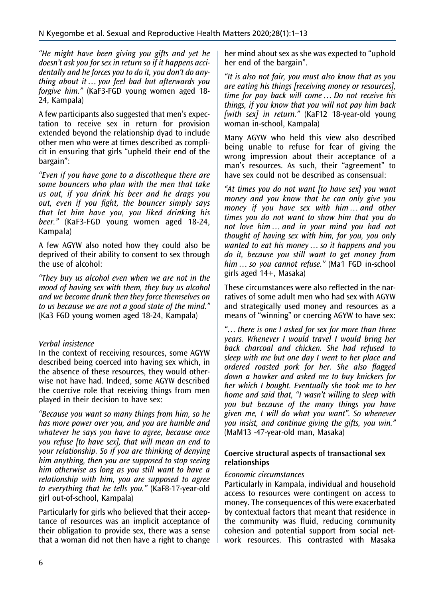"He might have been giving you gifts and yet he doesn't ask you for sex in return so if it happens accidentally and he forces you to do it, you don't do anything about it … you feel bad but afterwards you forgive him." (KaF3-FGD young women aged 18- 24, Kampala)

A few participants also suggested that men's expectation to receive sex in return for provision extended beyond the relationship dyad to include other men who were at times described as complicit in ensuring that girls "upheld their end of the bargain":

"Even if you have gone to a discotheque there are some bouncers who plan with the men that take us out, if you drink his beer and he drags you out, even if you fight, the bouncer simply says that let him have you, you liked drinking his beer." (KaF3-FGD young women aged 18-24, Kampala)

A few AGYW also noted how they could also be deprived of their ability to consent to sex through the use of alcohol:

"They buy us alcohol even when we are not in the mood of having sex with them, they buy us alcohol and we become drunk then they force themselves on to us because we are not a good state of the mind." (Ka3 FGD young women aged 18-24, Kampala)

#### Verbal insistence

In the context of receiving resources, some AGYW described being coerced into having sex which, in the absence of these resources, they would otherwise not have had. Indeed, some AGYW described the coercive role that receiving things from men played in their decision to have sex:

"Because you want so many things from him, so he has more power over you, and you are humble and whatever he says you have to agree, because once you refuse [to have sex], that will mean an end to your relationship. So if you are thinking of denying him anything, then you are supposed to stop seeing him otherwise as long as you still want to have a relationship with him, you are supposed to agree to everything that he tells you." (KaF8-17-year-old girl out-of-school, Kampala)

Particularly for girls who believed that their acceptance of resources was an implicit acceptance of their obligation to provide sex, there was a sense that a woman did not then have a right to change

her mind about sex as she was expected to "uphold her end of the bargain".

"It is also not fair, you must also know that as you are eating his things [receiving money or resources], time for pay back will come … Do not receive his things, if you know that you will not pay him back [with sex] in return." (KaF12 18-year-old young woman in-school, Kampala)

Many AGYW who held this view also described being unable to refuse for fear of giving the wrong impression about their acceptance of a man's resources. As such, their "agreement" to have sex could not be described as consensual:

"At times you do not want [to have sex] you want money and you know that he can only give you money if you have sex with him … and other times you do not want to show him that you do not love him … and in your mind you had not thought of having sex with him, for you, you only wanted to eat his money … so it happens and you do it, because you still want to get money from him ... so you cannot refuse." (Ma1 FGD in-school girls aged 14+, Masaka)

These circumstances were also reflected in the narratives of some adult men who had sex with AGYW and strategically used money and resources as a means of "winning" or coercing AGYW to have sex:

"… there is one I asked for sex for more than three years. Whenever I would travel I would bring her back charcoal and chicken. She had refused to sleep with me but one day I went to her place and ordered roasted pork for her. She also flagged down a hawker and asked me to buy knickers for her which I bought. Eventually she took me to her home and said that, "I wasn't willing to sleep with you but because of the many things you have given me, I will do what you want". So whenever you insist, and continue giving the gifts, you win." (MaM13 -47-year-old man, Masaka)

#### Coercive structural aspects of transactional sex relationships

#### Economic circumstances

Particularly in Kampala, individual and household access to resources were contingent on access to money. The consequences of this were exacerbated by contextual factors that meant that residence in the community was fluid, reducing community cohesion and potential support from social network resources. This contrasted with Masaka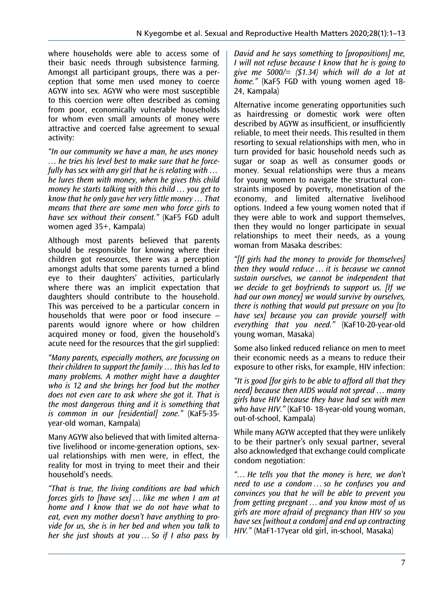where households were able to access some of their basic needs through subsistence farming. Amongst all participant groups, there was a perception that some men used money to coerce AGYW into sex. AGYW who were most susceptible to this coercion were often described as coming from poor, economically vulnerable households for whom even small amounts of money were attractive and coerced false agreement to sexual activity:

"In our community we have a man, he uses money … he tries his level best to make sure that he forcefully has sex with any girl that he is relating with … he lures them with money, when he gives this child money he starts talking with this child … you get to know that he only gave her very little money … That means that there are some men who force girls to have sex without their consent." (KaF5 FGD adult women aged 35+, Kampala)

Although most parents believed that parents should be responsible for knowing where their children got resources, there was a perception amongst adults that some parents turned a blind eye to their daughters' activities, particularly where there was an implicit expectation that daughters should contribute to the household. This was perceived to be a particular concern in households that were poor or food insecure – parents would ignore where or how children acquired money or food, given the household's acute need for the resources that the girl supplied:

"Many parents, especially mothers, are focussing on their children to support the family … this has led to many problems. A mother might have a daughter who is 12 and she brings her food but the mother does not even care to ask where she got it. That is the most dangerous thing and it is something that is common in our [residential] zone." (KaF5-35 year-old woman, Kampala)

Many AGYW also believed that with limited alternative livelihood or income-generation options, sexual relationships with men were, in effect, the reality for most in trying to meet their and their household's needs.

"That is true, the living conditions are bad which forces girls to [have sex] ... like me when I am at home and I know that we do not have what to eat, even my mother doesn't have anything to provide for us, she is in her bed and when you talk to her she just shouts at you … So if I also pass by David and he says something to [propositions] me, I will not refuse because I know that he is going to give me 5000/=  $(1,34)$  which will do a lot at home." (KaF5 FGD with young women aged 18-24, Kampala)

Alternative income generating opportunities such as hairdressing or domestic work were often described by AGYW as insufficient, or insufficiently reliable, to meet their needs. This resulted in them resorting to sexual relationships with men, who in turn provided for basic household needs such as sugar or soap as well as consumer goods or money. Sexual relationships were thus a means for young women to navigate the structural constraints imposed by poverty, monetisation of the economy, and limited alternative livelihood options. Indeed a few young women noted that if they were able to work and support themselves, then they would no longer participate in sexual relationships to meet their needs, as a young woman from Masaka describes:

"[If girls had the money to provide for themselves] then they would reduce … it is because we cannot sustain ourselves, we cannot be independent that we decide to get boyfriends to support us. [If we had our own money] we would survive by ourselves, there is nothing that would put pressure on you [to have sex] because you can provide yourself with everything that you need." (KaF10-20-year-old young woman, Masaka)

Some also linked reduced reliance on men to meet their economic needs as a means to reduce their exposure to other risks, for example, HIV infection:

"It is good [for girls to be able to afford all that they need] because then AIDS would not spread … many girls have HIV because they have had sex with men who have HIV." (KaF10-18-year-old young woman, out-of-school, Kampala)

While many AGYW accepted that they were unlikely to be their partner's only sexual partner, several also acknowledged that exchange could complicate condom negotiation:

"… He tells you that the money is here, we don't need to use a condom … so he confuses you and convinces you that he will be able to prevent you from getting pregnant … and you know most of us girls are more afraid of pregnancy than HIV so you have sex [without a condom] and end up contracting HIV." (MaF1-17year old girl, in-school, Masaka)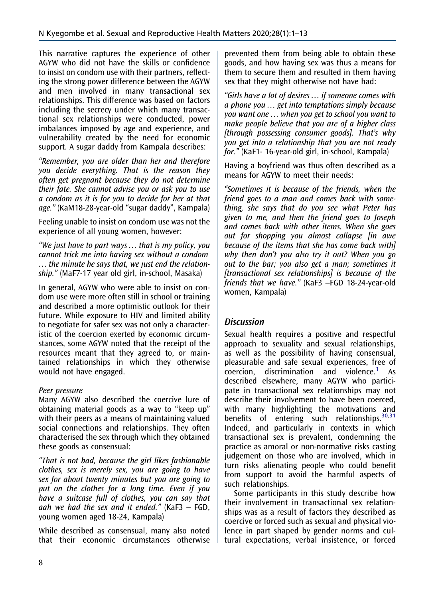This narrative captures the experience of other AGYW who did not have the skills or confidence to insist on condom use with their partners, reflecting the strong power difference between the AGYW and men involved in many transactional sex relationships. This difference was based on factors including the secrecy under which many transactional sex relationships were conducted, power imbalances imposed by age and experience, and vulnerability created by the need for economic support. A sugar daddy from Kampala describes:

"Remember, you are older than her and therefore you decide everything. That is the reason they often get pregnant because they do not determine their fate. She cannot advise you or ask you to use a condom as it is for you to decide for her at that age." (KaM18-28-year-old "sugar daddy", Kampala)

Feeling unable to insist on condom use was not the experience of all young women, however:

"We just have to part ways … that is my policy, you cannot trick me into having sex without a condom … the minute he says that, we just end the relationship." (MaF7-17 year old girl, in-school, Masaka)

In general, AGYW who were able to insist on condom use were more often still in school or training and described a more optimistic outlook for their future. While exposure to HIV and limited ability to negotiate for safer sex was not only a characteristic of the coercion exerted by economic circumstances, some AGYW noted that the receipt of the resources meant that they agreed to, or maintained relationships in which they otherwise would not have engaged.

#### Peer pressure

Many AGYW also described the coercive lure of obtaining material goods as a way to "keep up" with their peers as a means of maintaining valued social connections and relationships. They often characterised the sex through which they obtained these goods as consensual:

"That is not bad, because the girl likes fashionable clothes, sex is merely sex, you are going to have sex for about twenty minutes but you are going to put on the clothes for a long time. Even if you have a suitcase full of clothes, you can say that aah we had the sex and it ended."  $(KaF3 - FGD)$ , young women aged 18-24, Kampala)

While described as consensual, many also noted that their economic circumstances otherwise

prevented them from being able to obtain these goods, and how having sex was thus a means for them to secure them and resulted in them having sex that they might otherwise not have had:

"Girls have a lot of desires … if someone comes with a phone you … get into temptations simply because you want one … when you get to school you want to make people believe that you are of a higher class [through possessing consumer goods]. That's why you get into a relationship that you are not ready for." (KaF1- 16-year-old girl, in-school, Kampala)

Having a boyfriend was thus often described as a means for AGYW to meet their needs:

"Sometimes it is because of the friends, when the friend goes to a man and comes back with something, she says that do you see what Peter has given to me, and then the friend goes to Joseph and comes back with other items. When she goes out for shopping you almost collapse [in awe because of the items that she has come back with] why then don't you also try it out? When you go out to the bar; you also get a man; sometimes it [transactional sex relationships] is because of the friends that we have." (KaF3 –FGD 18-24-year-old women, Kampala)

## **Discussion**

Sexual health requires a positive and respectful approach to sexuality and sexual relationships, as well as the possibility of having consensual, pleasurable and safe sexual experiences, free of coercion, discrimination and violence.[1](#page-10-0) As described elsewhere, many AGYW who participate in transactional sex relationships may not describe their involvement to have been coerced, with many highlighting the motivations and benefits of entering such relationships. 30,31 Indeed, and particularly in contexts in which transactional sex is prevalent, condemning the practice as amoral or non-normative risks casting judgement on those who are involved, which in turn risks alienating people who could benefit from support to avoid the harmful aspects of such relationships.

Some participants in this study describe how their involvement in transactional sex relationships was as a result of factors they described as coercive or forced such as sexual and physical violence in part shaped by gender norms and cultural expectations, verbal insistence, or forced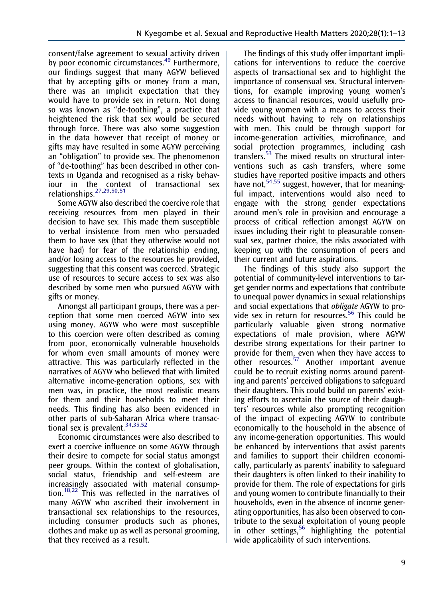<span id="page-9-0"></span>consent/false agreement to sexual activity driven by poor economic circumstances.<sup>[49](#page-12-0)</sup> Furthermore, our findings suggest that many AGYW believed that by accepting gifts or money from a man, there was an implicit expectation that they would have to provide sex in return. Not doing so was known as "de-toothing", a practice that heightened the risk that sex would be secured through force. There was also some suggestion in the data however that receipt of money or gifts may have resulted in some AGYW perceiving an "obligation" to provide sex. The phenomenon of "de-toothing" has been described in other contexts in Uganda and recognised as a risky behaviour in the context of transactional sex relationships.<sup>[27,29,](#page-11-0)[50,51](#page-12-0)</sup>

Some AGYW also described the coercive role that receiving resources from men played in their decision to have sex. This made them susceptible to verbal insistence from men who persuaded them to have sex (that they otherwise would not have had) for fear of the relationship ending, and/or losing access to the resources he provided, suggesting that this consent was coerced. Strategic use of resources to secure access to sex was also described by some men who pursued AGYW with gifts or money.

Amongst all participant groups, there was a perception that some men coerced AGYW into sex using money. AGYW who were most susceptible to this coercion were often described as coming from poor, economically vulnerable households for whom even small amounts of money were attractive. This was particularly reflected in the narratives of AGYW who believed that with limited alternative income-generation options, sex with men was, in practice, the most realistic means for them and their households to meet their needs. This finding has also been evidenced in other parts of sub-Saharan Africa where transactional sex is prevalent.  $34,35,52$  $34,35,52$ 

Economic circumstances were also described to exert a coercive influence on some AGYW through their desire to compete for social status amongst peer groups. Within the context of globalisation, social status, friendship and self-esteem are increasingly associated with material consump-tion.<sup>[18,22](#page-11-0)</sup> This was reflected in the narratives of many AGYW who ascribed their involvement in transactional sex relationships to the resources, including consumer products such as phones, clothes and make up as well as personal grooming, that they received as a result.

The findings of this study offer important implications for interventions to reduce the coercive aspects of transactional sex and to highlight the importance of consensual sex. Structural interventions, for example improving young women's access to financial resources, would usefully provide young women with a means to access their needs without having to rely on relationships with men. This could be through support for income-generation activities, microfinance, and social protection programmes, including cash transfers.[53](#page-12-0) The mixed results on structural interventions such as cash transfers, where some studies have reported positive impacts and others have not,  $54,55$  suggest, however, that for meaningful impact, interventions would also need to engage with the strong gender expectations around men's role in provision and encourage a process of critical reflection amongst AGYW on issues including their right to pleasurable consensual sex, partner choice, the risks associated with keeping up with the consumption of peers and their current and future aspirations.

The findings of this study also support the potential of community-level interventions to target gender norms and expectations that contribute to unequal power dynamics in sexual relationships and social expectations that obligate AGYW to pro-vide sex in return for resources.<sup>[56](#page-12-0)</sup> This could be particularly valuable given strong normative expectations of male provision, where AGYW describe strong expectations for their partner to provide for them, even when they have access to other resources.[57](#page-12-0) Another important avenue could be to recruit existing norms around parenting and parents' perceived obligations to safeguard their daughters. This could build on parents' existing efforts to ascertain the source of their daughters' resources while also prompting recognition of the impact of expecting AGYW to contribute economically to the household in the absence of any income-generation opportunities. This would be enhanced by interventions that assist parents and families to support their children economically, particularly as parents' inability to safeguard their daughters is often linked to their inability to provide for them. The role of expectations for girls and young women to contribute financially to their households, even in the absence of income generating opportunities, has also been observed to contribute to the sexual exploitation of young people in other settings,  $56$  highlighting the potential wide applicability of such interventions.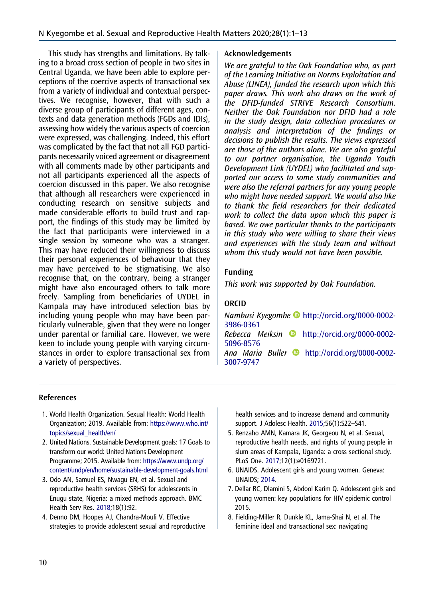<span id="page-10-0"></span>This study has strengths and limitations. By talking to a broad cross section of people in two sites in Central Uganda, we have been able to explore perceptions of the coercive aspects of transactional sex from a variety of individual and contextual perspectives. We recognise, however, that with such a diverse group of participants of different ages, contexts and data generation methods (FGDs and IDIs), assessing how widely the various aspects of coercion were expressed, was challenging. Indeed, this effort was complicated by the fact that not all FGD participants necessarily voiced agreement or disagreement with all comments made by other participants and not all participants experienced all the aspects of coercion discussed in this paper. We also recognise that although all researchers were experienced in conducting research on sensitive subjects and made considerable efforts to build trust and rapport, the findings of this study may be limited by the fact that participants were interviewed in a single session by someone who was a stranger. This may have reduced their willingness to discuss their personal experiences of behaviour that they may have perceived to be stigmatising. We also recognise that, on the contrary, being a stranger might have also encouraged others to talk more freely. Sampling from beneficiaries of UYDEL in Kampala may have introduced selection bias by including young people who may have been particularly vulnerable, given that they were no longer under parental or familial care. However, we were keen to include young people with varying circumstances in order to explore transactional sex from a variety of perspectives.

#### Acknowledgements

We are grateful to the Oak Foundation who, as part of the Learning Initiative on Norms Exploitation and Abuse (LINEA), funded the research upon which this paper draws. This work also draws on the work of the DFID-funded STRIVE Research Consortium. Neither the Oak Foundation nor DFID had a role in the study design, data collection procedures or analysis and interpretation of the findings or decisions to publish the results. The views expressed are those of the authors alone. We are also grateful to our partner organisation, the Uganda Youth Development Link (UYDEL) who facilitated and supported our access to some study communities and were also the referral partners for any young people who might have needed support. We would also like to thank the field researchers for their dedicated work to collect the data upon which this paper is based. We owe particular thanks to the participants in this study who were willing to share their views and experiences with the study team and without whom this study would not have been possible.

#### Funding

This work was supported by Oak Foundation.

#### ORCID

Nambusi Kyegombe [http://orcid.org/0000-0002-](http://orcid.org/0000-0002-3986-0361) [3986-0361](http://orcid.org/0000-0002-3986-0361)  $Rebecca$  Meiksin  $\bullet$  [http://orcid.org/0000-0002-](http://orcid.org/0000-0002-5096-8576) [5096-8576](http://orcid.org/0000-0002-5096-8576) Ana Maria Buller **b** [http://orcid.org/0000-0002-](http://orcid.org/0000-0002-3007-9747) [3007-9747](http://orcid.org/0000-0002-3007-9747)

#### References

- 1. World Health Organization. Sexual Health: World Health Organization; 2019. Available from: [https://www.who.int/](https://www.who.int/topics/sexual_health/en/) [topics/sexual\\_health/en/](https://www.who.int/topics/sexual_health/en/)
- 2. United Nations. Sustainable Development goals: 17 Goals to transform our world: United Nations Development Programme; 2015. Available from: [https://www.undp.org/](https://www.undp.org/content/undp/en/home/sustainable-development-goals.html) [content/undp/en/home/sustainable-development-goals.html](https://www.undp.org/content/undp/en/home/sustainable-development-goals.html)
- 3. Odo AN, Samuel ES, Nwagu EN, et al. Sexual and reproductive health services (SRHS) for adolescents in Enugu state, Nigeria: a mixed methods approach. BMC Health Serv Res. [2018;](#page-2-0)18(1):92.
- 4. Denno DM, Hoopes AJ, Chandra-Mouli V. Effective strategies to provide adolescent sexual and reproductive

health services and to increase demand and community support. J Adolesc Health. [2015;](#page-2-0)56(1):S22–S41.

- 5. Renzaho AMN, Kamara JK, Georgeou N, et al. Sexual, reproductive health needs, and rights of young people in slum areas of Kampala, Uganda: a cross sectional study. PLoS One. [2017](#page-2-0);12(1):e0169721.
- 6. UNAIDS. Adolescent girls and young women. Geneva: UNAIDS; [2014.](#page-2-0)
- 7. Dellar RC, Dlamini S, Abdool Karim Q. Adolescent girls and young women: key populations for HIV epidemic control 2015.
- 8. Fielding-Miller R, Dunkle KL, Jama-Shai N, et al. The feminine ideal and transactional sex: navigating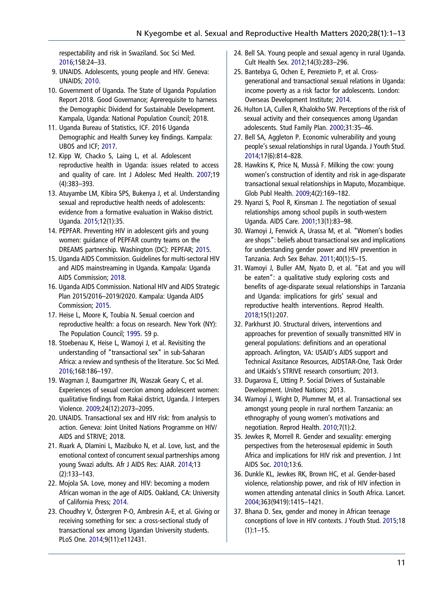<span id="page-11-0"></span>respectability and risk in Swaziland. Soc Sci Med. [2016;](#page-3-0)158:24–33.

- 9. UNAIDS. Adolescents, young people and HIV. Geneva: UNAIDS; [2010](#page-2-0).
- 10. Government of Uganda. The State of Uganda Population Report 2018. Good Governance: Aprerequisite to harness the Demographic Dividend for Sustainable Development. Kampala, Uganda: National Population Council; 2018.
- 11. Uganda Bureau of Statistics, ICF. 2016 Uganda Demographic and Health Survey key findings. Kampala: UBOS and ICF; [2017.](#page-2-0)
- 12. Kipp W, Chacko S, Laing L, et al. Adolescent reproductive health in Uganda: issues related to access and quality of care. Int J Adolesc Med Health. [2007;](#page-2-0)19 (4):383–393.
- 13. Atuyambe LM, Kibira SPS, Bukenya J, et al. Understanding sexual and reproductive health needs of adolescents: evidence from a formative evaluation in Wakiso district. Uganda. [2015](#page-2-0);12(1):35.
- 14. PEPFAR. Preventing HIV in adolescent girls and young women: guidance of PEPFAR country teams on the DREAMS partnership. Washington (DC): PEPFAR; [2015](#page-2-0).
- 15. Uganda AIDS Commission. Guidelines for multi-sectoral HIV and AIDS mainstreaming in Uganda. Kampala: Uganda AIDS Commission; 2018.
- 16. Uganda AIDS Commission. National HIV and AIDS Strategic Plan 2015/2016–2019/2020. Kampala: Uganda AIDS Commission; 2015.
- 17. Heise L, Moore K, Toubia N. Sexual coercion and reproductive health: a focus on research. New York (NY): The Population Council; [1995](#page-2-0). 59 p.
- 18. Stoebenau K, Heise L, Wamoyi J, et al. Revisiting the understanding of "transactional sex" in sub-Saharan Africa: a review and synthesis of the literature. Soc Sci Med. [2016;](#page-2-0)168:186–197.
- 19. Wagman J, Baumgartner JN, Waszak Geary C, et al. Experiences of sexual coercion among adolescent women: qualitative findings from Rakai district, Uganda. J Interpers Violence. [2009](#page-2-0);24(12):2073–2095.
- 20. UNAIDS. Transactional sex and HIV risk: from analysis to action. Geneva: Joint United Nations Programme on HIV/ AIDS and STRIVE; 2018.
- 21. Ruark A, Dlamini L, Mazibuko N, et al. Love, lust, and the emotional context of concurrent sexual partnerships among young Swazi adults. Afr J AIDS Res: AJAR. [2014;](#page-2-0)13 (2):133–143.
- 22. Mojola SA. Love, money and HIV: becoming a modern African woman in the age of AIDS. Oakland, CA: University of California Press; [2014](#page-2-0).
- 23. Choudhry V, Östergren P-O, Ambresin A-E, et al. Giving or receiving something for sex: a cross-sectional study of transactional sex among Ugandan University students. PLoS One. [2014;](#page-2-0)9(11):e112431.
- 24. Bell SA. Young people and sexual agency in rural Uganda. Cult Health Sex. 2012;14(3):283–296.
- 25. Bantebya G, Ochen E, Pereznieto P, et al. Crossgenerational and transactional sexual relations in Uganda: income poverty as a risk factor for adolescents. London: Overseas Development Institute; [2014.](#page-2-0)
- 26. Hulton LA, Cullen R, Khalokho SW. Perceptions of the risk of sexual activity and their consequences among Ugandan adolescents. Stud Family Plan. 2000;31:35–46.
- 27. Bell SA, Aggleton P. Economic vulnerability and young people's sexual relationships in rural Uganda. J Youth Stud. [2014;](#page-3-0)17(6):814–828.
- 28. Hawkins K, Price N, Mussá F. Milking the cow: young women's construction of identity and risk in age-disparate transactional sexual relationships in Maputo, Mozambique. Glob Publ Health. [2009;](#page-2-0)4(2):169–182.
- 29. Nyanzi S, Pool R, Kinsman J. The negotiation of sexual relationships among school pupils in south-western Uganda. AIDS Care. [2001;](#page-2-0)13(1):83–98.
- 30. Wamoyi J, Fenwick A, Urassa M, et al. "Women's bodies are shops": beliefs about transactional sex and implications for understanding gender power and HIV prevention in Tanzania. Arch Sex Behav. [2011](#page-2-0);40(1):5–15.
- 31. Wamoyi J, Buller AM, Nyato D, et al. "Eat and you will be eaten": a qualitative study exploring costs and benefits of age-disparate sexual relationships in Tanzania and Uganda: implications for girls' sexual and reproductive health interventions. Reprod Health. [2018;](#page-2-0)15(1):207.
- 32. Parkhurst JO. Structural drivers, interventions and approaches for prevention of sexually transmitted HIV in general populations: definitions and an operational approach. Arlington, VA: USAID's AIDS support and Technical Assitance Resources, AIDSTAR-One, Task Order and UKaids's STRIVE research consortium; 2013.
- 33. Dugarova E, Utting P. Social Drivers of Sustainable Development. United Nations; 2013.
- 34. Wamoyi J, Wight D, Plummer M, et al. Transactional sex amongst young people in rural northern Tanzania: an ethnography of young women's motivations and negotiation. Reprod Health. [2010;](#page-3-0)7(1):2.
- 35. Jewkes R, Morrell R. Gender and sexuality: emerging perspectives from the heterosexual epidemic in South Africa and implications for HIV risk and prevention. J Int AIDS Soc. [2010;](#page-9-0)13:6.
- 36. Dunkle KL, Jewkes RK, Brown HC, et al. Gender-based violence, relationship power, and risk of HIV infection in women attending antenatal clinics in South Africa. Lancet. 2004;363(9419):1415–1421.
- 37. Bhana D. Sex, gender and money in African teenage conceptions of love in HIV contexts. J Youth Stud. [2015](#page-3-0);18  $(1):1-15.$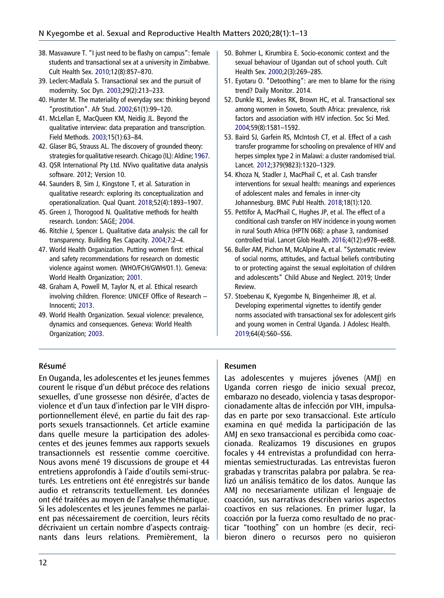- <span id="page-12-0"></span>38. Masvawure T. "I just need to be flashy on campus": female students and transactional sex at a university in Zimbabwe. Cult Health Sex. 2010;12(8):857–870.
- 39. Leclerc-Madlala S. Transactional sex and the pursuit of modernity. Soc Dyn. 2003;29(2):213–233.
- 40. Hunter M. The materiality of everyday sex: thinking beyond "prostitution". Afr Stud. [2002](#page-3-0);61(1):99–120.
- 41. McLellan E, MacQueen KM, Neidig JL. Beyond the qualitative interview: data preparation and transcription. Field Methods. [2003;](#page-5-0)15(1):63–84.
- 42. Glaser BG, Strauss AL. The discovery of grounded theory: strategies for qualitative research. Chicago (IL): Aldine; [1967.](#page-5-0)
- 43. QSR International Pty Ltd. NVivo qualitative data analysis software. 2012; Version 10.
- 44. Saunders B, Sim J, Kingstone T, et al. Saturation in qualitative research: exploring its conceptualization and operationalization. Qual Quant. [2018;](#page-5-0)52(4):1893–1907.
- 45. Green J, Thorogood N. Qualitative methods for health research. London: SAGE; [2004](#page-5-0).
- 46. Ritchie J, Spencer L. Qualitative data analysis: the call for transparency. Building Res Capacity. [2004](#page-5-0);7:2–4.
- 47. World Health Organization. Putting women first: ethical and safety recommendations for research on domestic violence against women. (WHO/FCH/GWH/01.1). Geneva: World Health Organization; [2001](#page-5-0).
- 48. Graham A, Powell M, Taylor N, et al. Ethical research involving children. Florence: UNICEF Office of Research – Innocenti; [2013.](#page-5-0)
- 49. World Health Organization. Sexual violence: prevalence, dynamics and consequences. Geneva: World Health Organization; [2003](#page-9-0).
- 50. Bohmer L, Kirumbira E. Socio-economic context and the sexual behaviour of Ugandan out of school youth. Cult Health Sex. [2000;](#page-9-0)2(3):269–285.
- 51. Eyotaru O. "Detoothing": are men to blame for the rising trend? Daily Monitor. 2014.
- 52. Dunkle KL, Jewkes RK, Brown HC, et al. Transactional sex among women in Soweto, South Africa: prevalence, risk factors and association with HIV infection. Soc Sci Med. [2004;](#page-9-0)59(8):1581–1592.
- 53. Baird SJ, Garfein RS, McIntosh CT, et al. Effect of a cash transfer programme for schooling on prevalence of HIV and herpes simplex type 2 in Malawi: a cluster randomised trial. Lancet. [2012](#page-9-0);379(9823):1320–1329.
- 54. Khoza N, Stadler J, MacPhail C, et al. Cash transfer interventions for sexual health: meanings and experiences of adolescent males and females in inner-city Johannesburg. BMC Publ Health. [2018;](#page-9-0)18(1):120.
- 55. Pettifor A, MacPhail C, Hughes JP, et al. The effect of a conditional cash transfer on HIV incidence in young women in rural South Africa (HPTN 068): a phase 3, randomised controlled trial. Lancet Glob Health. [2016](#page-9-0);4(12):e978–ee88.
- 56. Buller AM, Pichon M, McAlpine A, et al. "Systematic review of social norms, attitudes, and factual beliefs contributing to or protecting against the sexual exploitation of children and adolescents" Child Abuse and Neglect. 2019; Under Review.
- 57. Stoebenau K, Kyegombe N, Bingenheimer JB, et al. Developing experimental vignettes to identify gender norms associated with transactional sex for adolescent girls and young women in Central Uganda. J Adolesc Health. [2019;](#page-9-0)64(4):S60–SS6.

#### Résumé

En Ouganda, les adolescentes et les jeunes femmes courent le risque d'un début précoce des relations sexuelles, d'une grossesse non désirée, d'actes de violence et d'un taux d'infection par le VIH disproportionnellement élevé, en partie du fait des rapports sexuels transactionnels. Cet article examine dans quelle mesure la participation des adolescentes et des jeunes femmes aux rapports sexuels transactionnels est ressentie comme coercitive. Nous avons mené 19 discussions de groupe et 44 entretiens approfondis à l'aide d'outils semi-structurés. Les entretiens ont été enregistrés sur bande audio et retranscrits textuellement. Les données ont été traitées au moyen de l'analyse thématique. Si les adolescentes et les jeunes femmes ne parlaient pas nécessairement de coercition, leurs récits décrivaient un certain nombre d'aspects contraignants dans leurs relations. Premièrement, la

#### Resumen

Las adolescentes y mujeres jóvenes (AMJ) en Uganda corren riesgo de inicio sexual precoz, embarazo no deseado, violencia y tasas desproporcionadamente altas de infección por VIH, impulsadas en parte por sexo transaccional. Este artículo examina en qué medida la participación de las AMJ en sexo transaccional es percibida como coaccionada. Realizamos 19 discusiones en grupos focales y 44 entrevistas a profundidad con herramientas semiestructuradas. Las entrevistas fueron grabadas y transcritas palabra por palabra. Se realizó un análisis temático de los datos. Aunque las AMJ no necesariamente utilizan el lenguaje de coacción, sus narrativas describen varios aspectos coactivos en sus relaciones. En primer lugar, la coacción por la fuerza como resultado de no practicar "toothing" con un hombre (es decir, recibieron dinero o recursos pero no quisieron